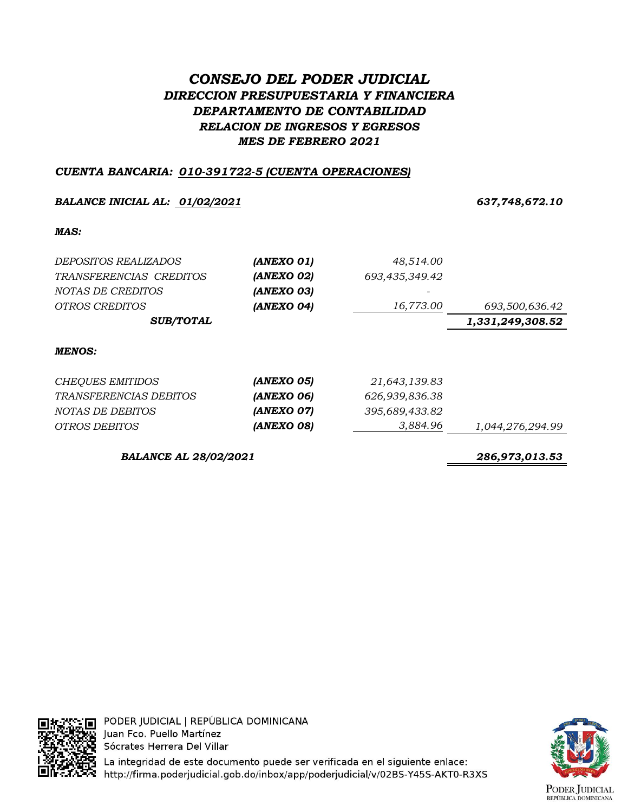# *CONSEJO DEL PODER JUDICIAL DIRECCION PRESUPUESTARIA Y FINANCIERA DEPARTAMENTO DE CONTABILIDAD RELACION DE INGRESOS Y EGRESOS MES DE FEBRERO 2021*

# *CUENTA BANCARIA: 010-391722-5 (CUENTA OPERACIONES)*

## *BALANCE INICIAL AL: 01/02/2021 637,748,672.10*

### *MAS:*

| <i>DEPOSITOS REALIZADOS</i> | (ANEXO 01) | 48,514.00      |                  |
|-----------------------------|------------|----------------|------------------|
| TRANSFERENCIAS CREDITOS     | (ANEXO 02) | 693,435,349.42 |                  |
| NOTAS DE CREDITOS           | (ANEXO 03) | -              |                  |
| <i>OTROS CREDITOS</i>       | (ANEXO 04) | 16,773.00      | 693,500,636.42   |
| <b>SUB/TOTAL</b>            |            |                | 1,331,249,308.52 |
| <b>MENOS:</b>               |            |                |                  |

| CHEQUES EMITIDOS        | (ANEXO 05)               | 21,643,139.83  |                  |
|-------------------------|--------------------------|----------------|------------------|
| TRANSFERENCIAS DEBITOS  | (ANEXO 06)               | 626,939,836.38 |                  |
| <i>NOTAS DE DEBITOS</i> | (ANEXO 07)               | 395,689,433.82 |                  |
| OTROS DEBITOS           | <i><b>(ANEXO 08)</b></i> | 3,884.96       | 1,044,276,294.99 |

*BALANCE AL 28/02/2021 286,973,013.53*



PODER JUDICIAL | REPÚBLICA DOMINICANA Juan Fco. Puello Martínez Sócrates Herrera Del Villar

La integridad de este documento puede ser verificada en el siguiente enlace: ≅ http://firma.poderjudicial.gob.do/inbox/app/poderjudicial/v/02BS-Y45S-AKT0-R3XS

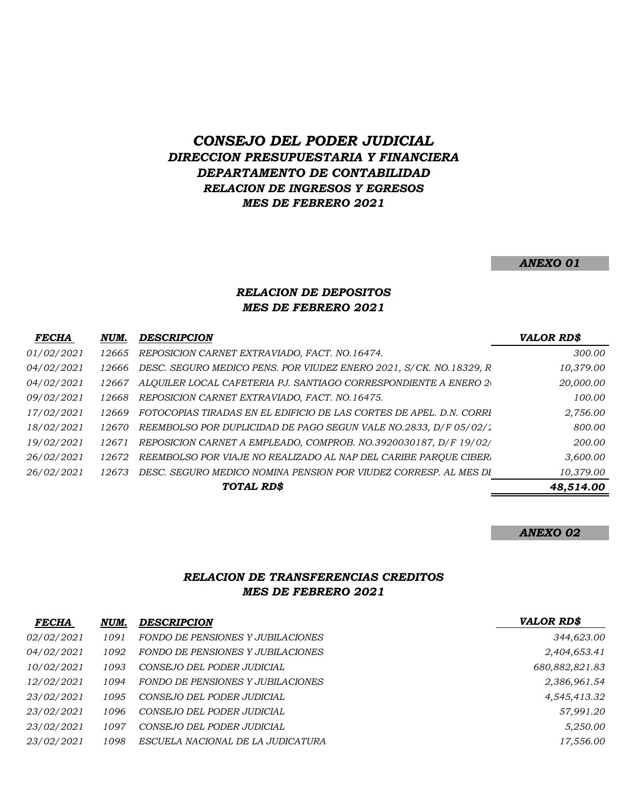# *CONSEJO DEL PODER JUDICIAL DIRECCION PRESUPUESTARIA Y FINANCIERA DEPARTAMENTO DE CONTABILIDAD RELACION DE INGRESOS Y EGRESOS MES DE FEBRERO 2021*

#### *ANEXO 01*

### *RELACION DE DEPOSITOS MES DE FEBRERO 2021*

| <b>FECHA</b>      | NUM.   | <b>DESCRIPCION</b>                                                  | <b>VALOR RD\$</b> |
|-------------------|--------|---------------------------------------------------------------------|-------------------|
| 01/02/2021        | 12665  | REPOSICION CARNET EXTRAVIADO, FACT. NO.16474.                       | 300.00            |
| <i>04/02/2021</i> | 12666  | DESC. SEGURO MEDICO PENS. POR VIUDEZ ENERO 2021, S/CK. NO.18329, R  | 10,379.00         |
| 04/02/2021        | 12667  | ALQUILER LOCAL CAFETERIA PJ. SANTIAGO CORRESPONDIENTE A ENERO 2     | 20,000.00         |
| 09/02/2021        | 12668  | REPOSICION CARNET EXTRAVIADO, FACT. NO.16475.                       | 100.00            |
| 17/02/2021        | 12669  | FOTOCOPIAS TIRADAS EN EL EDIFICIO DE LAS CORTES DE APEL. D.N. CORRI | 2,756.00          |
| 18/02/2021        | 12670  | REEMBOLSO POR DUPLICIDAD DE PAGO SEGUN VALE NO.2833, D/F 05/02/1    | 800.00            |
| 19/02/2021        | 1267   | REPOSICION CARNET A EMPLEADO, COMPROB. NO.3920030187, D/F 19/02/    | 200.00            |
| 26/02/2021        | 12672  | REEMBOLSO POR VIAJE NO REALIZADO AL NAP DEL CARIBE PAROUE CIBER.    | 3,600.00          |
| 26/02/2021        | 12673. | DESC. SEGURO MEDICO NOMINA PENSION POR VIUDEZ CORRESP. AL MES DI    | 10,379.00         |
|                   |        | TOTAL RD\$                                                          | 48,514.00         |

#### *ANEXO 02*

### *RELACION DE TRANSFERENCIAS CREDITOS MES DE FEBRERO 2021*

| <b>FECHA</b>      | NUM. | <b>DESCRIPCION</b>                | <b>VALOR RD\$</b> |
|-------------------|------|-----------------------------------|-------------------|
| <i>02/02/2021</i> | 1091 | FONDO DE PENSIONES Y JUBILACIONES | 344,623.00        |
| 04/02/2021        | 1092 | FONDO DE PENSIONES Y JUBILACIONES | 2,404,653.41      |
| <i>10/02/2021</i> | 1093 | CONSEJO DEL PODER JUDICIAL        | 680,882,821.83    |
| <i>12/02/2021</i> | 1094 | FONDO DE PENSIONES Y JUBILACIONES | 2,386,961.54      |
| <i>23/02/2021</i> | 1095 | CONSEJO DEL PODER JUDICIAL        | 4,545,413.32      |
| <i>23/02/2021</i> | 1096 | CONSEJO DEL PODER JUDICIAL        | 57,991.20         |
| <i>23/02/2021</i> | 1097 | CONSEJO DEL PODER JUDICIAL        | 5,250.00          |
| <i>23/02/2021</i> | 1098 | ESCUELA NACIONAL DE LA JUDICATURA | 17,556.00         |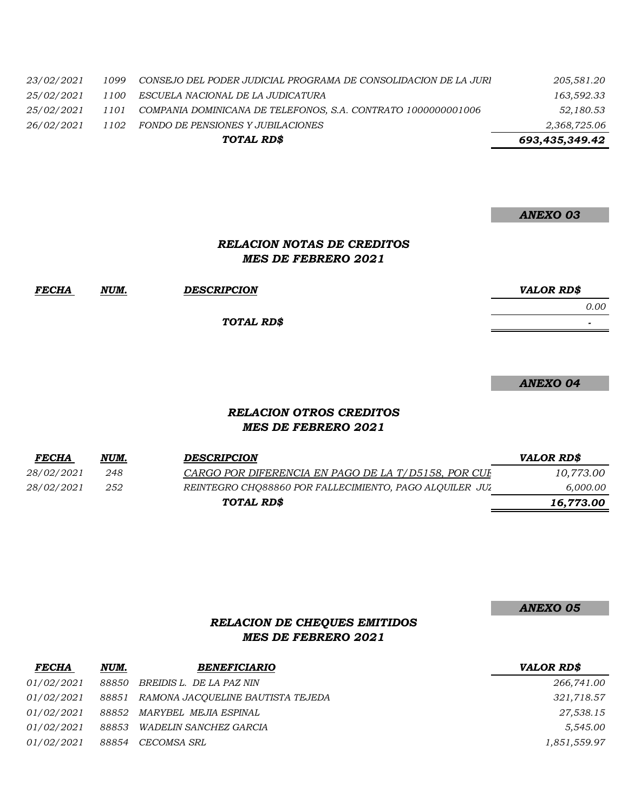| <i>23/02/2021</i> | 1099 | CONSEJO DEL PODER JUDICIAL PROGRAMA DE CONSOLIDACION DE LA JURI | 205,581.20     |
|-------------------|------|-----------------------------------------------------------------|----------------|
| <i>25/02/2021</i> | 1100 | ESCUELA NACIONAL DE LA JUDICATURA                               | 163,592.33     |
| <i>25/02/2021</i> | 1101 | COMPANIA DOMINICANA DE TELEFONOS, S.A. CONTRATO 1000000001006   | 52,180.53      |
| 26/02/2021        | 1102 | FONDO DE PENSIONES Y JUBILACIONES                               | 2,368,725.06   |
|                   |      | TOTAL RD\$                                                      | 693,435,349.42 |

*ANEXO 03*

## *RELACION NOTAS DE CREDITOS MES DE FEBRERO 2021*

| <b>FECHA</b> | NUM. | <b>DESCRIPCION</b> | <b>VALOR RD\$</b>        |
|--------------|------|--------------------|--------------------------|
|              |      |                    | 0.00                     |
|              |      | TOTAL RD\$         | $\overline{\phantom{0}}$ |

*ANEXO 04*

### *RELACION OTROS CREDITOS MES DE FEBRERO 2021*

| <u>FECHA</u>      | NUM. | <b>DESCRIPCION</b>                                      | <b>VALOR RDS</b> |
|-------------------|------|---------------------------------------------------------|------------------|
| <i>28/02/2021</i> | 248  | CARGO POR DIFERENCIA EN PAGO DE LA T/D5158. POR CUI-    | 10,773.00        |
| <i>28/02/2021</i> | 252  | REINTEGRO CHO88860 POR FALLECIMIENTO, PAGO ALOUILER JUZ | 6,000.00         |
|                   |      | TOTAL RD\$                                              | 16,773.00        |

*ANEXO 05*

# *RELACION DE CHEQUES EMITIDOS MES DE FEBRERO 2021*

| <b>FECHA</b>      | NUM.  | <b>BENEFICIARIO</b>                     | <b>VALOR RD\$</b> |
|-------------------|-------|-----------------------------------------|-------------------|
| <i>01/02/2021</i> | 88850 | BREIDIS L. DE LA PAZ NIN                | 266,741.00        |
| <i>01/02/2021</i> |       | 88851 RAMONA JACQUELINE BAUTISTA TEJEDA | 321,718.57        |
| <i>01/02/2021</i> |       | 88852 MARYBEL MEJIA ESPINAL             | 27,538.15         |
| <i>01/02/2021</i> | 88853 | WADELIN SANCHEZ GARCIA                  | 5,545.00          |
| <i>01/02/2021</i> |       | 88854 CECOMSA SRL                       | 1,851,559.97      |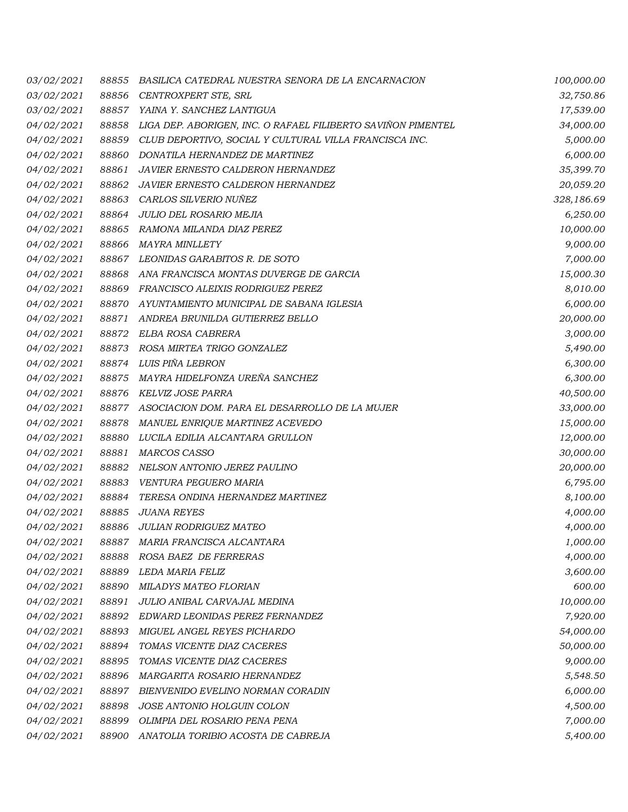| <i>03/02/2021</i> | 88855 | BASILICA CATEDRAL NUESTRA SENORA DE LA ENCARNACION           | 100,000.00 |
|-------------------|-------|--------------------------------------------------------------|------------|
| 03/02/2021        | 88856 | CENTROXPERT STE, SRL                                         | 32,750.86  |
| 03/02/2021        | 88857 | YAINA Y. SANCHEZ LANTIGUA                                    | 17,539.00  |
| 04/02/2021        | 88858 | LIGA DEP. ABORIGEN, INC. O RAFAEL FILIBERTO SAVIÑON PIMENTEL | 34,000.00  |
| 04/02/2021        | 88859 | CLUB DEPORTIVO, SOCIAL Y CULTURAL VILLA FRANCISCA INC.       | 5,000.00   |
| 04/02/2021        | 88860 | DONATILA HERNANDEZ DE MARTINEZ                               | 6,000.00   |
| 04/02/2021        | 88861 | JAVIER ERNESTO CALDERON HERNANDEZ                            | 35,399.70  |
| 04/02/2021        | 88862 | JAVIER ERNESTO CALDERON HERNANDEZ                            | 20,059.20  |
| 04/02/2021        | 88863 | CARLOS SILVERIO NUÑEZ                                        | 328,186.69 |
| <i>04/02/2021</i> | 88864 | JULIO DEL ROSARIO MEJIA                                      | 6,250.00   |
| 04/02/2021        | 88865 | RAMONA MILANDA DIAZ PEREZ                                    | 10,000.00  |
| 04/02/2021        | 88866 | MAYRA MINLLETY                                               | 9,000.00   |
| 04/02/2021        | 88867 | LEONIDAS GARABITOS R. DE SOTO                                | 7,000.00   |
| 04/02/2021        | 88868 | ANA FRANCISCA MONTAS DUVERGE DE GARCIA                       | 15,000.30  |
| 04/02/2021        | 88869 | FRANCISCO ALEIXIS RODRIGUEZ PEREZ                            | 8,010.00   |
| 04/02/2021        | 88870 | AYUNTAMIENTO MUNICIPAL DE SABANA IGLESIA                     | 6,000.00   |
| 04/02/2021        | 88871 | ANDREA BRUNILDA GUTIERREZ BELLO                              | 20,000.00  |
| 04/02/2021        | 88872 | ELBA ROSA CABRERA                                            | 3,000.00   |
| 04/02/2021        | 88873 | ROSA MIRTEA TRIGO GONZALEZ                                   | 5,490.00   |
| 04/02/2021        | 88874 | LUIS PIÑA LEBRON                                             | 6,300.00   |
| 04/02/2021        | 88875 | MAYRA HIDELFONZA UREÑA SANCHEZ                               | 6,300.00   |
| 04/02/2021        | 88876 | KELVIZ JOSE PARRA                                            | 40,500.00  |
| 04/02/2021        | 88877 | ASOCIACION DOM. PARA EL DESARROLLO DE LA MUJER               | 33,000.00  |
| 04/02/2021        | 88878 | MANUEL ENRIQUE MARTINEZ ACEVEDO                              | 15,000.00  |
| 04/02/2021        | 88880 | LUCILA EDILIA ALCANTARA GRULLON                              | 12,000.00  |
| 04/02/2021        | 88881 | MARCOS CASSO                                                 | 30,000.00  |
| 04/02/2021        | 88882 | NELSON ANTONIO JEREZ PAULINO                                 | 20,000.00  |
| 04/02/2021        | 88883 | VENTURA PEGUERO MARIA                                        | 6,795.00   |
| 04/02/2021        | 88884 | TERESA ONDINA HERNANDEZ MARTINEZ                             | 8,100.00   |
| 04/02/2021        | 88885 | <b>JUANA REYES</b>                                           | 4,000.00   |
| 04/02/2021        | 88886 | <b>JULIAN RODRIGUEZ MATEO</b>                                | 4,000.00   |
| <i>04/02/2021</i> | 88887 | MARIA FRANCISCA ALCANTARA                                    | 1,000.00   |
| 04/02/2021        | 88888 | ROSA BAEZ DE FERRERAS                                        | 4,000.00   |
| 04/02/2021        | 88889 | LEDA MARIA FELIZ                                             | 3,600.00   |
| 04/02/2021        | 88890 | <b>MILADYS MATEO FLORIAN</b>                                 | 600.00     |
| 04/02/2021        | 88891 | JULIO ANIBAL CARVAJAL MEDINA                                 | 10,000.00  |
| 04/02/2021        | 88892 | EDWARD LEONIDAS PEREZ FERNANDEZ                              | 7,920.00   |
| 04/02/2021        | 88893 | MIGUEL ANGEL REYES PICHARDO                                  | 54,000.00  |
| 04/02/2021        | 88894 | TOMAS VICENTE DIAZ CACERES                                   | 50,000.00  |
| 04/02/2021        | 88895 | TOMAS VICENTE DIAZ CACERES                                   | 9,000.00   |
| 04/02/2021        | 88896 | <i>MARGARITA ROSARIO HERNANDEZ</i>                           | 5,548.50   |
| 04/02/2021        | 88897 | BIENVENIDO EVELINO NORMAN CORADIN                            | 6,000.00   |
| <i>04/02/2021</i> | 88898 | JOSE ANTONIO HOLGUIN COLON                                   | 4,500.00   |
| 04/02/2021        | 88899 | OLIMPIA DEL ROSARIO PENA PENA                                | 7,000.00   |
| 04/02/2021        | 88900 | ANATOLIA TORIBIO ACOSTA DE CABREJA                           | 5,400.00   |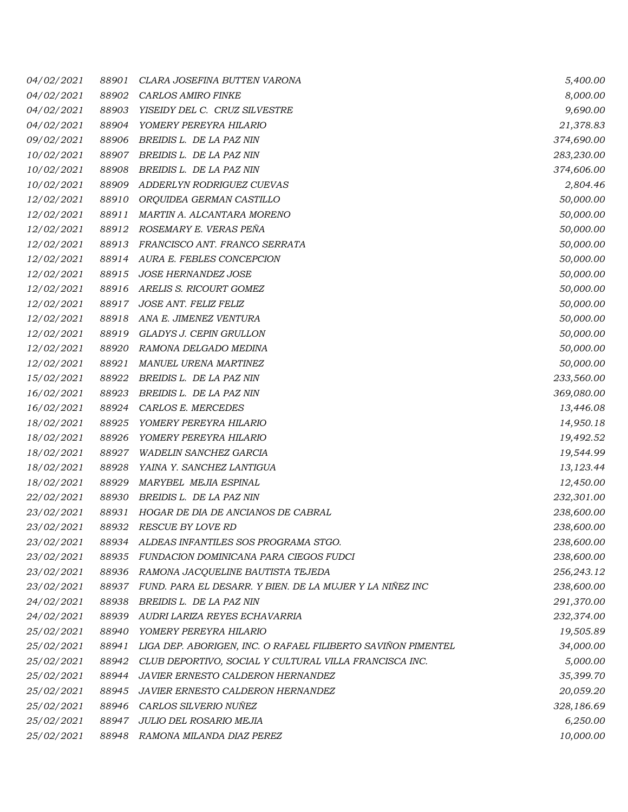| <i>04/02/2021</i> | 88901 | CLARA JOSEFINA BUTTEN VARONA                                 | 5,400.00   |
|-------------------|-------|--------------------------------------------------------------|------------|
| 04/02/2021        | 88902 | CARLOS AMIRO FINKE                                           | 8,000.00   |
| 04/02/2021        | 88903 | YISEIDY DEL C. CRUZ SILVESTRE                                | 9,690.00   |
| 04/02/2021        | 88904 | YOMERY PEREYRA HILARIO                                       | 21,378.83  |
| 09/02/2021        | 88906 | BREIDIS L. DE LA PAZ NIN                                     | 374,690.00 |
| 10/02/2021        | 88907 | BREIDIS L. DE LA PAZ NIN                                     | 283,230.00 |
| <i>10/02/2021</i> | 88908 | BREIDIS L. DE LA PAZ NIN                                     | 374,606.00 |
| 10/02/2021        | 88909 | ADDERLYN RODRIGUEZ CUEVAS                                    | 2,804.46   |
| 12/02/2021        | 88910 | ORQUIDEA GERMAN CASTILLO                                     | 50,000.00  |
| 12/02/2021        | 88911 | MARTIN A. ALCANTARA MORENO                                   | 50,000.00  |
| <i>12/02/2021</i> | 88912 | ROSEMARY E. VERAS PEÑA                                       | 50,000.00  |
| <i>12/02/2021</i> | 88913 | FRANCISCO ANT. FRANCO SERRATA                                | 50,000.00  |
| 12/02/2021        | 88914 | AURA E. FEBLES CONCEPCION                                    | 50,000.00  |
| 12/02/2021        | 88915 | JOSE HERNANDEZ JOSE                                          | 50,000.00  |
| <i>12/02/2021</i> | 88916 | ARELIS S. RICOURT GOMEZ                                      | 50,000.00  |
| 12/02/2021        | 88917 | JOSE ANT. FELIZ FELIZ                                        | 50,000.00  |
| <i>12/02/2021</i> | 88918 | ANA E. JIMENEZ VENTURA                                       | 50,000.00  |
| 12/02/2021        | 88919 | GLADYS J. CEPIN GRULLON                                      | 50,000.00  |
| <i>12/02/2021</i> | 88920 | RAMONA DELGADO MEDINA                                        | 50,000.00  |
| 12/02/2021        | 88921 | MANUEL URENA MARTINEZ                                        | 50,000.00  |
| 15/02/2021        | 88922 | BREIDIS L. DE LA PAZ NIN                                     | 233,560.00 |
| 16/02/2021        | 88923 | BREIDIS L. DE LA PAZ NIN                                     | 369,080.00 |
| 16/02/2021        | 88924 | CARLOS E. MERCEDES                                           | 13,446.08  |
| 18/02/2021        | 88925 | YOMERY PEREYRA HILARIO                                       | 14,950.18  |
| 18/02/2021        | 88926 | YOMERY PEREYRA HILARIO                                       | 19,492.52  |
| 18/02/2021        | 88927 | WADELIN SANCHEZ GARCIA                                       | 19,544.99  |
| 18/02/2021        | 88928 | YAINA Y. SANCHEZ LANTIGUA                                    | 13,123.44  |
| 18/02/2021        | 88929 | MARYBEL MEJIA ESPINAL                                        | 12,450.00  |
| <i>22/02/2021</i> | 88930 | BREIDIS L. DE LA PAZ NIN                                     | 232,301.00 |
| 23/02/2021        | 88931 | HOGAR DE DIA DE ANCIANOS DE CABRAL                           | 238,600.00 |
| 23/02/2021        | 88932 | <b>RESCUE BY LOVE RD</b>                                     | 238,600.00 |
| 23/02/2021        | 88934 | ALDEAS INFANTILES SOS PROGRAMA STGO.                         | 238,600.00 |
| 23/02/2021        | 88935 | FUNDACION DOMINICANA PARA CIEGOS FUDCI                       | 238,600.00 |
| 23/02/2021        | 88936 | RAMONA JACQUELINE BAUTISTA TEJEDA                            | 256,243.12 |
| 23/02/2021        | 88937 | FUND. PARA EL DESARR. Y BIEN. DE LA MUJER Y LA NIÑEZ INC     | 238,600.00 |
| <i>24/02/2021</i> | 88938 | BREIDIS L. DE LA PAZ NIN                                     | 291,370.00 |
| 24/02/2021        | 88939 | AUDRI LARIZA REYES ECHAVARRIA                                | 232,374.00 |
| <i>25/02/2021</i> | 88940 | YOMERY PEREYRA HILARIO                                       | 19,505.89  |
| 25/02/2021        | 88941 | LIGA DEP. ABORIGEN, INC. O RAFAEL FILIBERTO SAVIÑON PIMENTEL | 34,000.00  |
| 25/02/2021        | 88942 | CLUB DEPORTIVO, SOCIAL Y CULTURAL VILLA FRANCISCA INC.       | 5,000.00   |
| 25/02/2021        | 88944 | <b>JAVIER ERNESTO CALDERON HERNANDEZ</b>                     | 35,399.70  |
| 25/02/2021        | 88945 | <b>JAVIER ERNESTO CALDERON HERNANDEZ</b>                     | 20,059.20  |
| <i>25/02/2021</i> |       | 88946 CARLOS SILVERIO NUÑEZ                                  | 328,186.69 |
| 25/02/2021        | 88947 | JULIO DEL ROSARIO MEJIA                                      | 6,250.00   |
| 25/02/2021        |       | 88948 RAMONA MILANDA DIAZ PEREZ                              | 10,000.00  |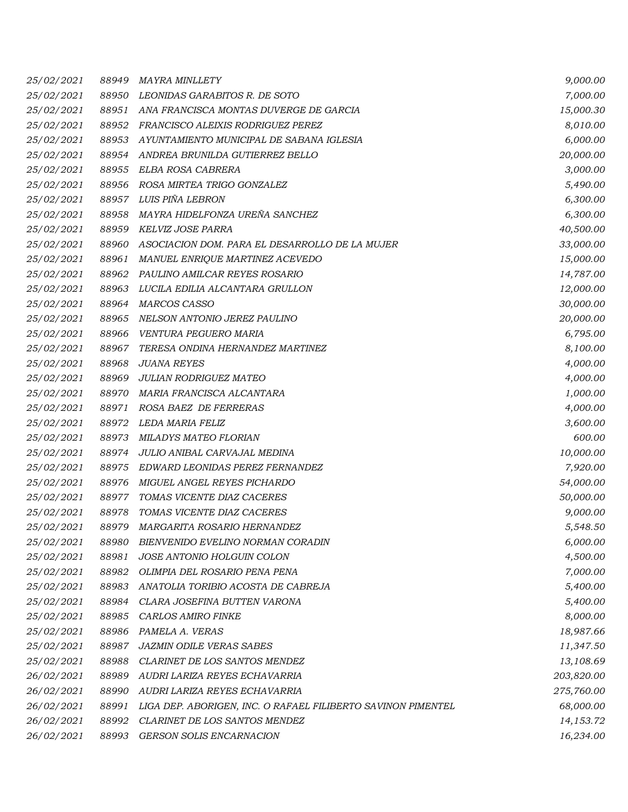| <i>25/02/2021</i> | 88949 | MAYRA MINLLETY                                               | 9,000.00   |
|-------------------|-------|--------------------------------------------------------------|------------|
| 25/02/2021        | 88950 | LEONIDAS GARABITOS R. DE SOTO                                | 7,000.00   |
| 25/02/2021        | 88951 | ANA FRANCISCA MONTAS DUVERGE DE GARCIA                       | 15,000.30  |
| 25/02/2021        | 88952 | FRANCISCO ALEIXIS RODRIGUEZ PEREZ                            | 8,010.00   |
| 25/02/2021        | 88953 | AYUNTAMIENTO MUNICIPAL DE SABANA IGLESIA                     | 6,000.00   |
| 25/02/2021        | 88954 | ANDREA BRUNILDA GUTIERREZ BELLO                              | 20,000.00  |
| <i>25/02/2021</i> | 88955 | ELBA ROSA CABRERA                                            | 3,000.00   |
| 25/02/2021        | 88956 | ROSA MIRTEA TRIGO GONZALEZ                                   | 5,490.00   |
| 25/02/2021        | 88957 | LUIS PIÑA LEBRON                                             | 6,300.00   |
| <i>25/02/2021</i> | 88958 | MAYRA HIDELFONZA UREÑA SANCHEZ                               | 6,300.00   |
| <i>25/02/2021</i> | 88959 | KELVIZ JOSE PARRA                                            | 40,500.00  |
| <i>25/02/2021</i> | 88960 | ASOCIACION DOM. PARA EL DESARROLLO DE LA MUJER               | 33,000.00  |
| 25/02/2021        | 88961 | MANUEL ENRIQUE MARTINEZ ACEVEDO                              | 15,000.00  |
| 25/02/2021        | 88962 | PAULINO AMILCAR REYES ROSARIO                                | 14,787.00  |
| 25/02/2021        | 88963 | LUCILA EDILIA ALCANTARA GRULLON                              | 12,000.00  |
| 25/02/2021        | 88964 | MARCOS CASSO                                                 | 30,000.00  |
| 25/02/2021        | 88965 | NELSON ANTONIO JEREZ PAULINO                                 | 20,000.00  |
| 25/02/2021        | 88966 | VENTURA PEGUERO MARIA                                        | 6,795.00   |
| 25/02/2021        | 88967 | TERESA ONDINA HERNANDEZ MARTINEZ                             | 8,100.00   |
| 25/02/2021        | 88968 | <b>JUANA REYES</b>                                           | 4,000.00   |
| 25/02/2021        | 88969 | JULIAN RODRIGUEZ MATEO                                       | 4,000.00   |
| 25/02/2021        | 88970 | MARIA FRANCISCA ALCANTARA                                    | 1,000.00   |
| 25/02/2021        | 88971 | ROSA BAEZ DE FERRERAS                                        | 4,000.00   |
| <i>25/02/2021</i> | 88972 | LEDA MARIA FELIZ                                             | 3,600.00   |
| <i>25/02/2021</i> | 88973 | MILADYS MATEO FLORIAN                                        | 600.00     |
| <i>25/02/2021</i> | 88974 | JULIO ANIBAL CARVAJAL MEDINA                                 | 10,000.00  |
| 25/02/2021        | 88975 | EDWARD LEONIDAS PEREZ FERNANDEZ                              | 7,920.00   |
| 25/02/2021        | 88976 | MIGUEL ANGEL REYES PICHARDO                                  | 54,000.00  |
| <i>25/02/2021</i> | 88977 | TOMAS VICENTE DIAZ CACERES                                   | 50,000.00  |
| 25/02/2021        | 88978 | TOMAS VICENTE DIAZ CACERES                                   | 9,000.00   |
| 25/02/2021        | 88979 | MARGARITA ROSARIO HERNANDEZ                                  | 5,548.50   |
| <i>25/02/2021</i> | 88980 | BIENVENIDO EVELINO NORMAN CORADIN                            | 6,000.00   |
| 25/02/2021        | 88981 | JOSE ANTONIO HOLGUIN COLON                                   | 4,500.00   |
| 25/02/2021        | 88982 | OLIMPIA DEL ROSARIO PENA PENA                                | 7,000.00   |
| 25/02/2021        | 88983 | ANATOLIA TORIBIO ACOSTA DE CABREJA                           | 5,400.00   |
| <i>25/02/2021</i> | 88984 | CLARA JOSEFINA BUTTEN VARONA                                 | 5,400.00   |
| 25/02/2021        | 88985 | CARLOS AMIRO FINKE                                           | 8,000.00   |
| <i>25/02/2021</i> | 88986 | PAMELA A. VERAS                                              | 18,987.66  |
| 25/02/2021        | 88987 | <b>JAZMIN ODILE VERAS SABES</b>                              | 11,347.50  |
| <i>25/02/2021</i> | 88988 | CLARINET DE LOS SANTOS MENDEZ                                | 13,108.69  |
| 26/02/2021        | 88989 | AUDRI LARIZA REYES ECHAVARRIA                                | 203,820.00 |
| 26/02/2021        | 88990 | AUDRI LARIZA REYES ECHAVARRIA                                | 275,760.00 |
| 26/02/2021        | 88991 | LIGA DEP. ABORIGEN, INC. O RAFAEL FILIBERTO SAVINON PIMENTEL | 68,000.00  |
| 26/02/2021        | 88992 | CLARINET DE LOS SANTOS MENDEZ                                | 14,153.72  |
| 26/02/2021        | 88993 | GERSON SOLIS ENCARNACION                                     | 16,234.00  |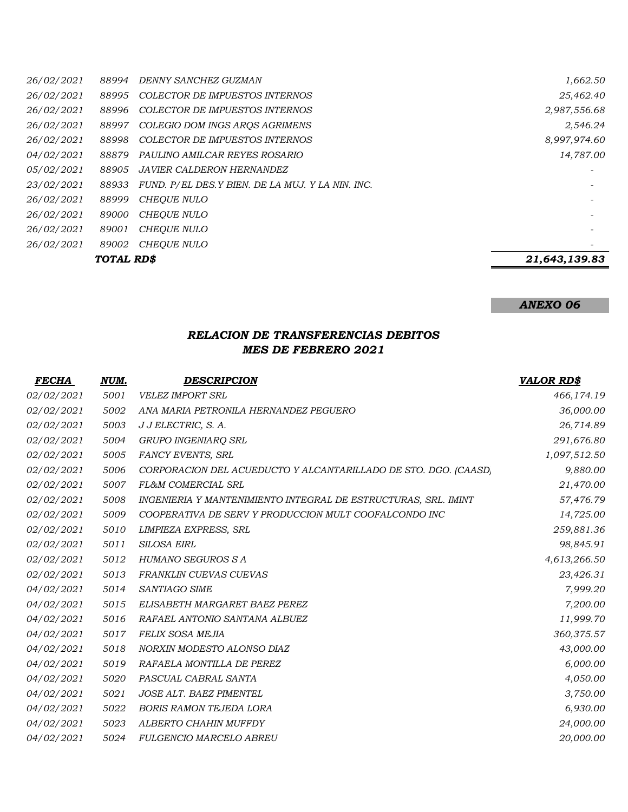| 88994 | DENNY SANCHEZ GUZMAN                              | 1,662.50          |
|-------|---------------------------------------------------|-------------------|
| 88995 | COLECTOR DE IMPUESTOS INTERNOS                    | 25,462.40         |
| 88996 | COLECTOR DE IMPUESTOS INTERNOS                    | 2,987,556.68      |
| 88997 | COLEGIO DOM INGS AROS AGRIMENS                    | 2,546.24          |
| 88998 | COLECTOR DE IMPUESTOS INTERNOS                    | 8,997,974.60      |
| 88879 | PAULINO AMILCAR REYES ROSARIO                     | 14,787.00         |
| 88905 | <b>JAVIER CALDERON HERNANDEZ</b>                  |                   |
| 88933 | FUND. P/EL DES. Y BIEN. DE LA MUJ. Y LA NIN. INC. |                   |
| 88999 | <b>CHEOUE NULO</b>                                |                   |
| 89000 | <b>CHEOUE NULO</b>                                |                   |
| 89001 | <b>CHEOUE NULO</b>                                |                   |
| 89002 | <b>CHEOUE NULO</b>                                |                   |
|       |                                                   | 21,643,139.83     |
|       |                                                   | <b>TOTAL RD\$</b> |

# *ANEXO 06*

## *RELACION DE TRANSFERENCIAS DEBITOS MES DE FEBRERO 2021*

| <b>FECHA</b> | NUM. | <b>DESCRIPCION</b>                                              | <b>VALOR RD\$</b> |
|--------------|------|-----------------------------------------------------------------|-------------------|
| 02/02/2021   | 5001 | <b>VELEZ IMPORT SRL</b>                                         | 466,174.19        |
| 02/02/2021   | 5002 | ANA MARIA PETRONILA HERNANDEZ PEGUERO                           | 36,000.00         |
| 02/02/2021   | 5003 | J J ELECTRIC, S. A.                                             | 26,714.89         |
| 02/02/2021   | 5004 | GRUPO INGENIARQ SRL                                             | 291,676.80        |
| 02/02/2021   | 5005 | FANCY EVENTS, SRL                                               | 1,097,512.50      |
| 02/02/2021   | 5006 | CORPORACION DEL ACUEDUCTO Y ALCANTARILLADO DE STO. DGO. (CAASD, | 9,880.00          |
| 02/02/2021   | 5007 | <b>FL&amp;M COMERCIAL SRL</b>                                   | 21,470.00         |
| 02/02/2021   | 5008 | INGENIERIA Y MANTENIMIENTO INTEGRAL DE ESTRUCTURAS, SRL. IMINT  | 57,476.79         |
| 02/02/2021   | 5009 | COOPERATIVA DE SERV Y PRODUCCION MULT COOFALCONDO INC           | 14,725.00         |
| 02/02/2021   | 5010 | LIMPIEZA EXPRESS, SRL                                           | 259,881.36        |
| 02/02/2021   | 5011 | <b>SILOSA EIRL</b>                                              | 98,845.91         |
| 02/02/2021   | 5012 | HUMANO SEGUROS S A                                              | 4,613,266.50      |
| 02/02/2021   | 5013 | FRANKLIN CUEVAS CUEVAS                                          | 23,426.31         |
| 04/02/2021   | 5014 | SANTIAGO SIME                                                   | 7,999.20          |
| 04/02/2021   | 5015 | ELISABETH MARGARET BAEZ PEREZ                                   | 7,200.00          |
| 04/02/2021   | 5016 | RAFAEL ANTONIO SANTANA ALBUEZ                                   | 11,999.70         |
| 04/02/2021   | 5017 | FELIX SOSA MEJIA                                                | 360,375.57        |
| 04/02/2021   | 5018 | NORXIN MODESTO ALONSO DIAZ                                      | 43,000.00         |
| 04/02/2021   | 5019 | RAFAELA MONTILLA DE PEREZ                                       | 6,000.00          |
| 04/02/2021   | 5020 | PASCUAL CABRAL SANTA                                            | 4,050.00          |
| 04/02/2021   | 5021 | <b>JOSE ALT. BAEZ PIMENTEL</b>                                  | 3,750.00          |
| 04/02/2021   | 5022 | <b>BORIS RAMON TEJEDA LORA</b>                                  | 6,930.00          |
| 04/02/2021   | 5023 | ALBERTO CHAHIN MUFFDY                                           | 24,000.00         |
| 04/02/2021   | 5024 | <b>FULGENCIO MARCELO ABREU</b>                                  | 20,000.00         |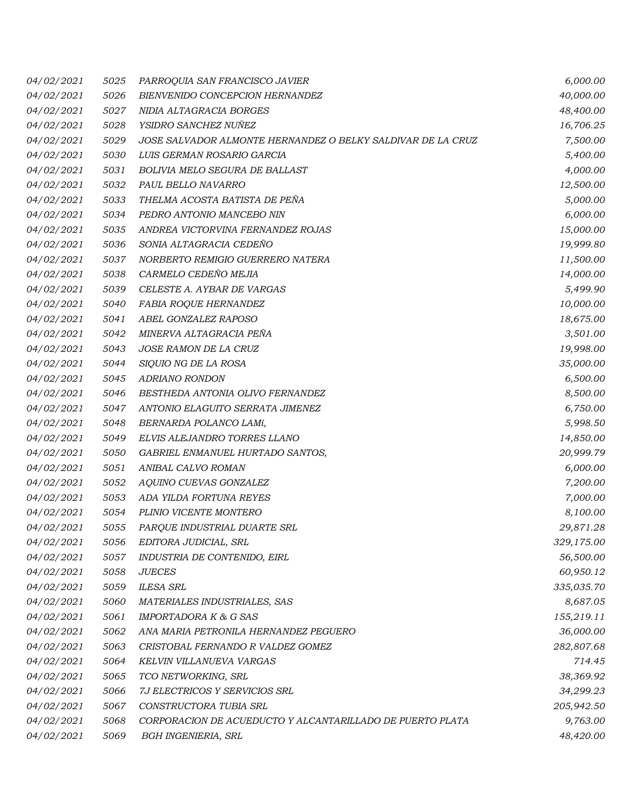| <i>04/02/2021</i> | 5025 | PARROQUIA SAN FRANCISCO JAVIER                              | 6,000.00   |
|-------------------|------|-------------------------------------------------------------|------------|
| 04/02/2021        | 5026 | BIENVENIDO CONCEPCION HERNANDEZ                             | 40,000.00  |
| 04/02/2021        | 5027 | NIDIA ALTAGRACIA BORGES                                     | 48,400.00  |
| 04/02/2021        | 5028 | YSIDRO SANCHEZ NUÑEZ                                        | 16,706.25  |
| 04/02/2021        | 5029 | JOSE SALVADOR ALMONTE HERNANDEZ O BELKY SALDIVAR DE LA CRUZ | 7,500.00   |
| 04/02/2021        | 5030 | LUIS GERMAN ROSARIO GARCIA                                  | 5,400.00   |
| 04/02/2021        | 5031 | BOLIVIA MELO SEGURA DE BALLAST                              | 4,000.00   |
| 04/02/2021        | 5032 | PAUL BELLO NAVARRO                                          | 12,500.00  |
| 04/02/2021        | 5033 | THELMA ACOSTA BATISTA DE PEÑA                               | 5,000.00   |
| 04/02/2021        | 5034 | PEDRO ANTONIO MANCEBO NIN                                   | 6,000.00   |
| 04/02/2021        | 5035 | ANDREA VICTORVINA FERNANDEZ ROJAS                           | 15,000.00  |
| 04/02/2021        | 5036 | SONIA ALTAGRACIA CEDEÑO                                     | 19,999.80  |
| 04/02/2021        | 5037 | NORBERTO REMIGIO GUERRERO NATERA                            | 11,500.00  |
| 04/02/2021        | 5038 | CARMELO CEDEÑO MEJIA                                        | 14,000.00  |
| 04/02/2021        | 5039 | CELESTE A. AYBAR DE VARGAS                                  | 5,499.90   |
| 04/02/2021        | 5040 | FABIA ROQUE HERNANDEZ                                       | 10,000.00  |
| 04/02/2021        | 5041 | ABEL GONZALEZ RAPOSO                                        | 18,675.00  |
| 04/02/2021        | 5042 | MINERVA ALTAGRACIA PEÑA                                     | 3,501.00   |
| 04/02/2021        | 5043 | JOSE RAMON DE LA CRUZ                                       | 19,998.00  |
| <i>04/02/2021</i> | 5044 | SIQUIO NG DE LA ROSA                                        | 35,000.00  |
| 04/02/2021        | 5045 | ADRIANO RONDON                                              | 6,500.00   |
| 04/02/2021        | 5046 | BESTHEDA ANTONIA OLIVO FERNANDEZ                            | 8,500.00   |
| 04/02/2021        | 5047 | ANTONIO ELAGUITO SERRATA JIMENEZ                            | 6,750.00   |
| 04/02/2021        | 5048 | BERNARDA POLANCO LAMí,                                      | 5,998.50   |
| 04/02/2021        | 5049 | ELVIS ALEJANDRO TORRES LLANO                                | 14,850.00  |
| 04/02/2021        | 5050 | GABRIEL ENMANUEL HURTADO SANTOS,                            | 20,999.79  |
| <i>04/02/2021</i> | 5051 | ANIBAL CALVO ROMAN                                          | 6,000.00   |
| 04/02/2021        | 5052 | AQUINO CUEVAS GONZALEZ                                      | 7,200.00   |
| <i>04/02/2021</i> | 5053 | ADA YILDA FORTUNA REYES                                     | 7,000.00   |
| 04/02/2021        | 5054 | PLINIO VICENTE MONTERO                                      | 8,100.00   |
| 04/02/2021        | 5055 | PARQUE INDUSTRIAL DUARTE SRL                                | 29,871.28  |
| 04/02/2021        | 5056 | EDITORA JUDICIAL, SRL                                       | 329,175.00 |
| 04/02/2021        | 5057 | INDUSTRIA DE CONTENIDO, EIRL                                | 56,500.00  |
| 04/02/2021        | 5058 | <b>JUECES</b>                                               | 60,950.12  |
| 04/02/2021        | 5059 | <b>ILESA SRL</b>                                            | 335,035.70 |
| 04/02/2021        | 5060 | MATERIALES INDUSTRIALES, SAS                                | 8,687.05   |
| 04/02/2021        | 5061 | <b>IMPORTADORA K &amp; G SAS</b>                            | 155,219.11 |
| 04/02/2021        | 5062 | ANA MARIA PETRONILA HERNANDEZ PEGUERO                       | 36,000.00  |
| 04/02/2021        | 5063 | CRISTOBAL FERNANDO R VALDEZ GOMEZ                           | 282,807.68 |
| 04/02/2021        | 5064 | KELVIN VILLANUEVA VARGAS                                    | 714.45     |
| 04/02/2021        | 5065 | TCO NETWORKING, SRL                                         | 38,369.92  |
| 04/02/2021        | 5066 | 7J ELECTRICOS Y SERVICIOS SRL                               | 34,299.23  |
| 04/02/2021        | 5067 | CONSTRUCTORA TUBIA SRL                                      | 205,942.50 |
| 04/02/2021        | 5068 | CORPORACION DE ACUEDUCTO Y ALCANTARILLADO DE PUERTO PLATA   | 9,763.00   |
| 04/02/2021        | 5069 | <b>BGH INGENIERIA, SRL</b>                                  | 48,420.00  |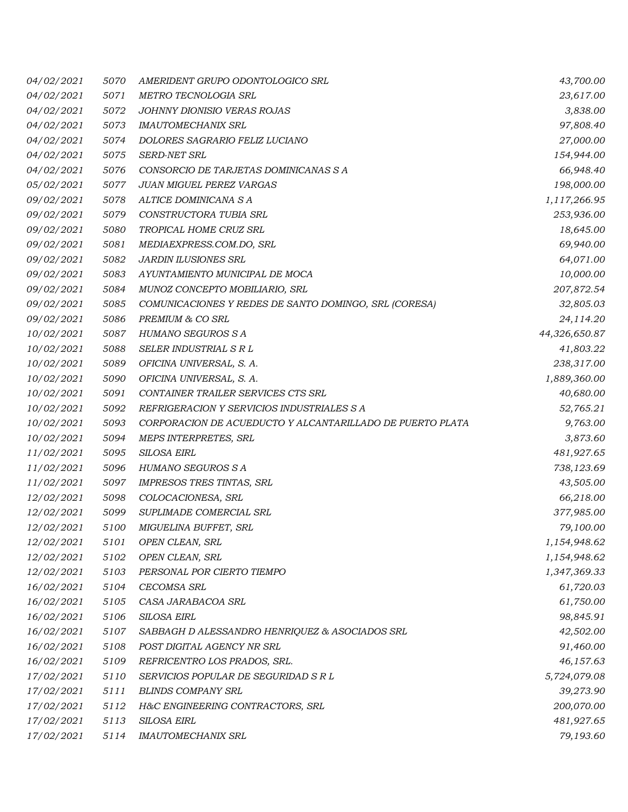| 04/02/2021        | 5070 | AMERIDENT GRUPO ODONTOLOGICO SRL                          | 43,700.00     |
|-------------------|------|-----------------------------------------------------------|---------------|
| 04/02/2021        | 5071 | METRO TECNOLOGIA SRL                                      | 23,617.00     |
| 04/02/2021        | 5072 | JOHNNY DIONISIO VERAS ROJAS                               | 3,838.00      |
| 04/02/2021        | 5073 | <b>IMAUTOMECHANIX SRL</b>                                 | 97,808.40     |
| 04/02/2021        | 5074 | DOLORES SAGRARIO FELIZ LUCIANO                            | 27,000.00     |
| 04/02/2021        | 5075 | SERD-NET SRL                                              | 154,944.00    |
| 04/02/2021        | 5076 | CONSORCIO DE TARJETAS DOMINICANAS S A                     | 66,948.40     |
| 05/02/2021        | 5077 | JUAN MIGUEL PEREZ VARGAS                                  | 198,000.00    |
| 09/02/2021        | 5078 | ALTICE DOMINICANA S A                                     | 1,117,266.95  |
| <i>09/02/2021</i> | 5079 | CONSTRUCTORA TUBIA SRL                                    | 253,936.00    |
| 09/02/2021        | 5080 | TROPICAL HOME CRUZ SRL                                    | 18,645.00     |
| 09/02/2021        | 5081 | MEDIAEXPRESS.COM.DO, SRL                                  | 69,940.00     |
| 09/02/2021        | 5082 | JARDIN ILUSIONES SRL                                      | 64,071.00     |
| 09/02/2021        | 5083 | AYUNTAMIENTO MUNICIPAL DE MOCA                            | 10,000.00     |
| 09/02/2021        | 5084 | MUNOZ CONCEPTO MOBILIARIO, SRL                            | 207,872.54    |
| 09/02/2021        | 5085 | COMUNICACIONES Y REDES DE SANTO DOMINGO, SRL (CORESA)     | 32,805.03     |
| 09/02/2021        | 5086 | PREMIUM & CO SRL                                          | 24,114.20     |
| 10/02/2021        | 5087 | HUMANO SEGUROS S A                                        | 44,326,650.87 |
| 10/02/2021        | 5088 | SELER INDUSTRIAL S R L                                    | 41,803.22     |
| <i>10/02/2021</i> | 5089 | OFICINA UNIVERSAL, S. A.                                  | 238,317.00    |
| 10/02/2021        | 5090 | OFICINA UNIVERSAL, S. A.                                  | 1,889,360.00  |
| 10/02/2021        | 5091 | CONTAINER TRAILER SERVICES CTS SRL                        | 40,680.00     |
| 10/02/2021        | 5092 | REFRIGERACION Y SERVICIOS INDUSTRIALES S A                | 52,765.21     |
| 10/02/2021        | 5093 | CORPORACION DE ACUEDUCTO Y ALCANTARILLADO DE PUERTO PLATA | 9,763.00      |
| 10/02/2021        | 5094 | MEPS INTERPRETES, SRL                                     | 3,873.60      |
| 11/02/2021        | 5095 | SILOSA EIRL                                               | 481,927.65    |
| 11/02/2021        | 5096 | HUMANO SEGUROS S A                                        | 738,123.69    |
| 11/02/2021        | 5097 | IMPRESOS TRES TINTAS, SRL                                 | 43,505.00     |
| <i>12/02/2021</i> | 5098 | COLOCACIONESA, SRL                                        | 66,218.00     |
| 12/02/2021        | 5099 | SUPLIMADE COMERCIAL SRL                                   | 377,985.00    |
| <i>12/02/2021</i> | 5100 | MIGUELINA BUFFET, SRL                                     | 79,100.00     |
| <i>12/02/2021</i> | 5101 | OPEN CLEAN, SRL                                           | 1,154,948.62  |
| 12/02/2021        | 5102 | OPEN CLEAN, SRL                                           | 1,154,948.62  |
| 12/02/2021        | 5103 | PERSONAL POR CIERTO TIEMPO                                | 1,347,369.33  |
| 16/02/2021        | 5104 | CECOMSA SRL                                               | 61,720.03     |
| 16/02/2021        | 5105 | CASA JARABACOA SRL                                        | 61,750.00     |
| 16/02/2021        | 5106 | SILOSA EIRL                                               | 98,845.91     |
| 16/02/2021        | 5107 | SABBAGH D ALESSANDRO HENRIQUEZ & ASOCIADOS SRL            | 42,502.00     |
| 16/02/2021        | 5108 | POST DIGITAL AGENCY NR SRL                                | 91,460.00     |
| 16/02/2021        | 5109 | REFRICENTRO LOS PRADOS, SRL.                              | 46,157.63     |
| 17/02/2021        | 5110 | SERVICIOS POPULAR DE SEGURIDAD S R L                      | 5,724,079.08  |
| 17/02/2021        | 5111 | <b>BLINDS COMPANY SRL</b>                                 | 39,273.90     |
| 17/02/2021        | 5112 | H&C ENGINEERING CONTRACTORS, SRL                          | 200,070.00    |
| 17/02/2021        | 5113 | SILOSA EIRL                                               | 481,927.65    |
| 17/02/2021        | 5114 | <b>IMAUTOMECHANIX SRL</b>                                 | 79,193.60     |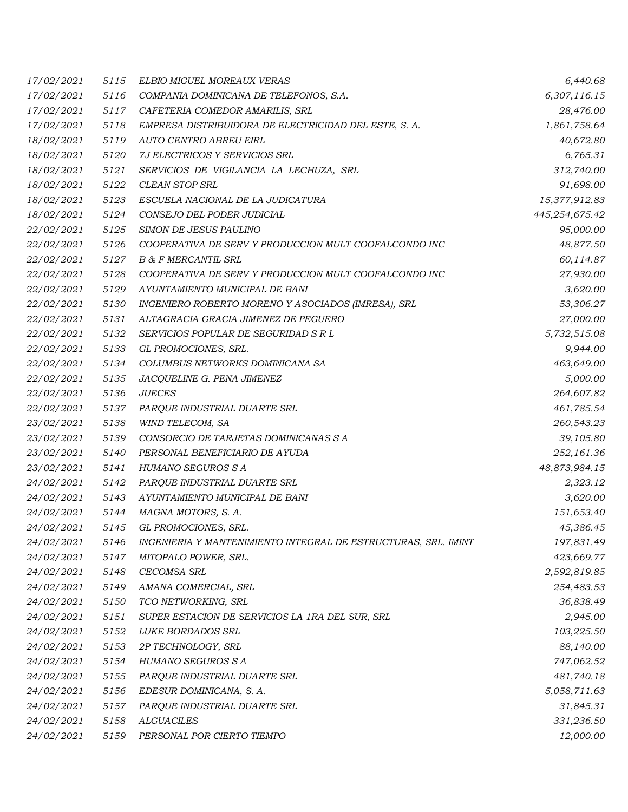| 17/02/2021        | 5115 | ELBIO MIGUEL MOREAUX VERAS                                     | 6,440.68       |
|-------------------|------|----------------------------------------------------------------|----------------|
| 17/02/2021        | 5116 | COMPANIA DOMINICANA DE TELEFONOS, S.A.                         | 6,307,116.15   |
| 17/02/2021        | 5117 | CAFETERIA COMEDOR AMARILIS, SRL                                | 28,476.00      |
| 17/02/2021        | 5118 | EMPRESA DISTRIBUIDORA DE ELECTRICIDAD DEL ESTE, S. A.          | 1,861,758.64   |
| 18/02/2021        | 5119 | AUTO CENTRO ABREU EIRL                                         | 40,672.80      |
| 18/02/2021        | 5120 | 7J ELECTRICOS Y SERVICIOS SRL                                  | 6,765.31       |
| 18/02/2021        | 5121 | SERVICIOS DE VIGILANCIA LA LECHUZA, SRL                        | 312,740.00     |
| 18/02/2021        | 5122 | CLEAN STOP SRL                                                 | 91,698.00      |
| 18/02/2021        | 5123 | ESCUELA NACIONAL DE LA JUDICATURA                              | 15,377,912.83  |
| 18/02/2021        | 5124 | CONSEJO DEL PODER JUDICIAL                                     | 445,254,675.42 |
| 22/02/2021        | 5125 | SIMON DE JESUS PAULINO                                         | 95,000.00      |
| 22/02/2021        | 5126 | COOPERATIVA DE SERV Y PRODUCCION MULT COOFALCONDO INC          | 48,877.50      |
| 22/02/2021        | 5127 | <b>B &amp; F MERCANTIL SRL</b>                                 | 60,114.87      |
| 22/02/2021        | 5128 | COOPERATIVA DE SERV Y PRODUCCION MULT COOFALCONDO INC          | 27,930.00      |
| 22/02/2021        | 5129 | AYUNTAMIENTO MUNICIPAL DE BANI                                 | 3,620.00       |
| 22/02/2021        | 5130 | INGENIERO ROBERTO MORENO Y ASOCIADOS (IMRESA), SRL             | 53,306.27      |
| <i>22/02/2021</i> | 5131 | ALTAGRACIA GRACIA JIMENEZ DE PEGUERO                           | 27,000.00      |
| 22/02/2021        | 5132 | SERVICIOS POPULAR DE SEGURIDAD S R L                           | 5,732,515.08   |
| 22/02/2021        | 5133 | GL PROMOCIONES, SRL.                                           | 9,944.00       |
| 22/02/2021        | 5134 | COLUMBUS NETWORKS DOMINICANA SA                                | 463,649.00     |
| 22/02/2021        | 5135 | JACQUELINE G. PENA JIMENEZ                                     | 5,000.00       |
| <i>22/02/2021</i> | 5136 | <b>JUECES</b>                                                  | 264,607.82     |
| 22/02/2021        | 5137 | PARQUE INDUSTRIAL DUARTE SRL                                   | 461,785.54     |
| 23/02/2021        | 5138 | WIND TELECOM, SA                                               | 260,543.23     |
| 23/02/2021        | 5139 | CONSORCIO DE TARJETAS DOMINICANAS S A                          | 39,105.80      |
| 23/02/2021        | 5140 | PERSONAL BENEFICIARIO DE AYUDA                                 | 252,161.36     |
| 23/02/2021        | 5141 | HUMANO SEGUROS S A                                             | 48,873,984.15  |
| 24/02/2021        | 5142 | PARQUE INDUSTRIAL DUARTE SRL                                   | 2,323.12       |
| 24/02/2021        | 5143 | AYUNTAMIENTO MUNICIPAL DE BANI                                 | 3,620.00       |
| 24/02/2021        | 5144 | MAGNA MOTORS, S. A.                                            | 151,653.40     |
| 24/02/2021        | 5145 | GL PROMOCIONES, SRL.                                           | 45,386.45      |
| 24/02/2021        | 5146 | INGENIERIA Y MANTENIMIENTO INTEGRAL DE ESTRUCTURAS, SRL. IMINT | 197,831.49     |
| 24/02/2021        | 5147 | MITOPALO POWER, SRL.                                           | 423,669.77     |
| 24/02/2021        | 5148 | <b>CECOMSA SRL</b>                                             | 2,592,819.85   |
| 24/02/2021        | 5149 | AMANA COMERCIAL, SRL                                           | 254,483.53     |
| 24/02/2021        | 5150 | TCO NETWORKING, SRL                                            | 36,838.49      |
| 24/02/2021        | 5151 | SUPER ESTACION DE SERVICIOS LA 1RA DEL SUR, SRL                | 2,945.00       |
| 24/02/2021        | 5152 | LUKE BORDADOS SRL                                              | 103,225.50     |
| 24/02/2021        | 5153 | 2P TECHNOLOGY, SRL                                             | 88,140.00      |
| 24/02/2021        | 5154 | HUMANO SEGUROS S A                                             | 747,062.52     |
| 24/02/2021        | 5155 | PARQUE INDUSTRIAL DUARTE SRL                                   | 481,740.18     |
| 24/02/2021        | 5156 | EDESUR DOMINICANA, S. A.                                       | 5,058,711.63   |
| 24/02/2021        | 5157 | PARQUE INDUSTRIAL DUARTE SRL                                   | 31,845.31      |
| 24/02/2021        | 5158 | <b>ALGUACILES</b>                                              | 331,236.50     |
| 24/02/2021        | 5159 | PERSONAL POR CIERTO TIEMPO                                     | 12,000.00      |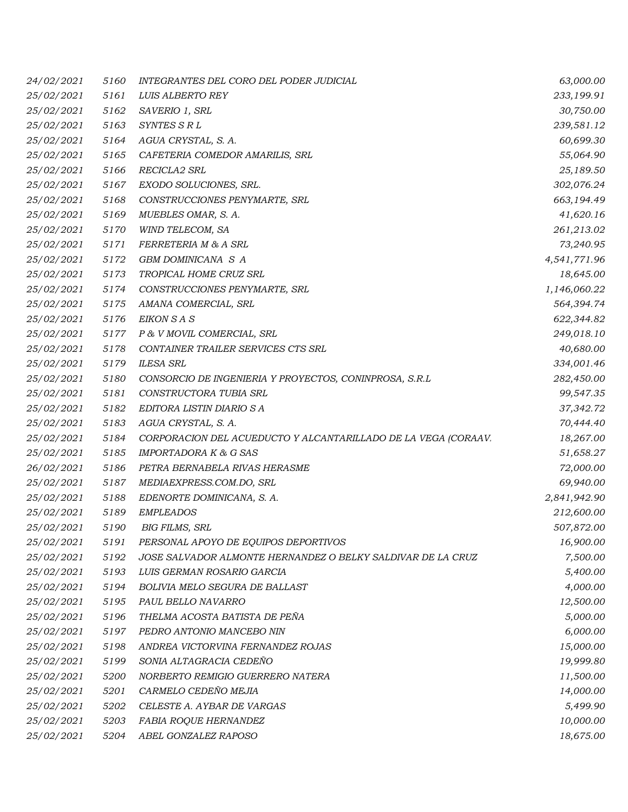| 24/02/2021        | 5160 | INTEGRANTES DEL CORO DEL PODER JUDICIAL                        | 63,000.00    |
|-------------------|------|----------------------------------------------------------------|--------------|
| 25/02/2021        | 5161 | LUIS ALBERTO REY                                               | 233,199.91   |
| 25/02/2021        | 5162 | SAVERIO 1, SRL                                                 | 30,750.00    |
| 25/02/2021        | 5163 | SYNTES S R L                                                   | 239,581.12   |
| 25/02/2021        | 5164 | AGUA CRYSTAL, S. A.                                            | 60,699.30    |
| 25/02/2021        | 5165 | CAFETERIA COMEDOR AMARILIS, SRL                                | 55,064.90    |
| 25/02/2021        | 5166 | RECICLA2 SRL                                                   | 25,189.50    |
| 25/02/2021        | 5167 | EXODO SOLUCIONES, SRL.                                         | 302,076.24   |
| 25/02/2021        | 5168 | CONSTRUCCIONES PENYMARTE, SRL                                  | 663,194.49   |
| 25/02/2021        | 5169 | MUEBLES OMAR, S. A.                                            | 41,620.16    |
| 25/02/2021        | 5170 | WIND TELECOM, SA                                               | 261,213.02   |
| 25/02/2021        | 5171 | FERRETERIA M & A SRL                                           | 73,240.95    |
| 25/02/2021        | 5172 | GBM DOMINICANA S A                                             | 4,541,771.96 |
| 25/02/2021        | 5173 | TROPICAL HOME CRUZ SRL                                         | 18,645.00    |
| 25/02/2021        | 5174 | CONSTRUCCIONES PENYMARTE, SRL                                  | 1,146,060.22 |
| 25/02/2021        | 5175 | AMANA COMERCIAL, SRL                                           | 564,394.74   |
| 25/02/2021        | 5176 | EIKON S A S                                                    | 622,344.82   |
| 25/02/2021        | 5177 | P & V MOVIL COMERCIAL, SRL                                     | 249,018.10   |
| 25/02/2021        | 5178 | CONTAINER TRAILER SERVICES CTS SRL                             | 40,680.00    |
| 25/02/2021        | 5179 | <b>ILESA SRL</b>                                               | 334,001.46   |
| 25/02/2021        | 5180 | CONSORCIO DE INGENIERIA Y PROYECTOS, CONINPROSA, S.R.L         | 282,450.00   |
| 25/02/2021        | 5181 | CONSTRUCTORA TUBIA SRL                                         | 99,547.35    |
| 25/02/2021        | 5182 | EDITORA LISTIN DIARIO S A                                      | 37,342.72    |
| 25/02/2021        | 5183 | AGUA CRYSTAL, S. A.                                            | 70,444.40    |
| 25/02/2021        | 5184 | CORPORACION DEL ACUEDUCTO Y ALCANTARILLADO DE LA VEGA (CORAAV. | 18,267.00    |
| 25/02/2021        | 5185 | IMPORTADORA K & G SAS                                          | 51,658.27    |
| 26/02/2021        | 5186 | PETRA BERNABELA RIVAS HERASME                                  | 72,000.00    |
| 25/02/2021        | 5187 | MEDIAEXPRESS.COM.DO, SRL                                       | 69,940.00    |
| 25/02/2021        | 5188 | EDENORTE DOMINICANA, S. A.                                     | 2,841,942.90 |
| 25/02/2021        | 5189 | <b>EMPLEADOS</b>                                               | 212,600.00   |
| <i>25/02/2021</i> | 5190 | <b>BIG FILMS, SRL</b>                                          | 507,872.00   |
| 25/02/2021        | 5191 | PERSONAL APOYO DE EQUIPOS DEPORTIVOS                           | 16,900.00    |
| 25/02/2021        | 5192 | JOSE SALVADOR ALMONTE HERNANDEZ O BELKY SALDIVAR DE LA CRUZ    | 7,500.00     |
| 25/02/2021        | 5193 | LUIS GERMAN ROSARIO GARCIA                                     | 5,400.00     |
| 25/02/2021        | 5194 | BOLIVIA MELO SEGURA DE BALLAST                                 | 4,000.00     |
| 25/02/2021        | 5195 | PAUL BELLO NAVARRO                                             | 12,500.00    |
| 25/02/2021        | 5196 | THELMA ACOSTA BATISTA DE PEÑA                                  | 5,000.00     |
| 25/02/2021        | 5197 | PEDRO ANTONIO MANCEBO NIN                                      | 6,000.00     |
| 25/02/2021        | 5198 | ANDREA VICTORVINA FERNANDEZ ROJAS                              | 15,000.00    |
| 25/02/2021        | 5199 | SONIA ALTAGRACIA CEDEÑO                                        | 19,999.80    |
| 25/02/2021        | 5200 | NORBERTO REMIGIO GUERRERO NATERA                               | 11,500.00    |
| 25/02/2021        | 5201 | CARMELO CEDEÑO MEJIA                                           | 14,000.00    |
| 25/02/2021        | 5202 | CELESTE A. AYBAR DE VARGAS                                     | 5,499.90     |
| 25/02/2021        | 5203 | FABIA ROQUE HERNANDEZ                                          | 10,000.00    |
| 25/02/2021        | 5204 | ABEL GONZALEZ RAPOSO                                           | 18,675.00    |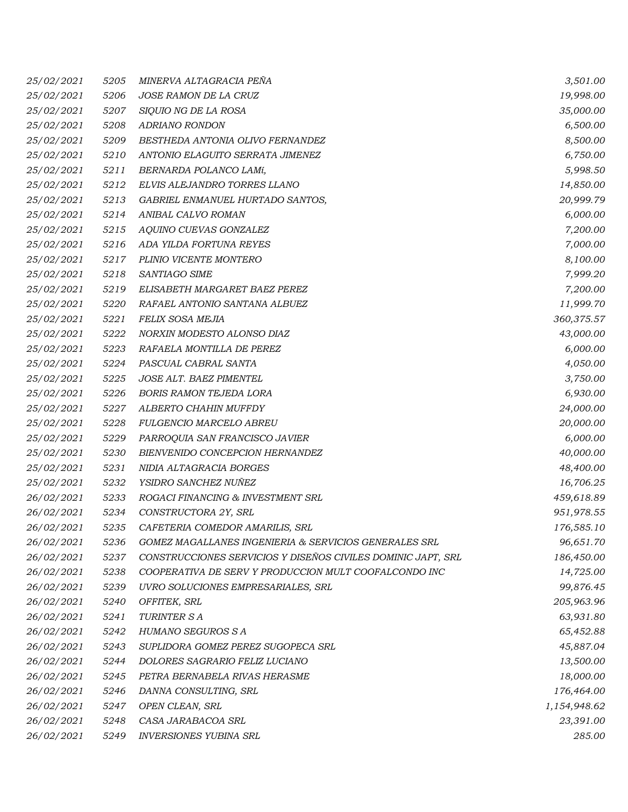| 25/02/2021 | 5205 | MINERVA ALTAGRACIA PEÑA                                      | 3,501.00     |
|------------|------|--------------------------------------------------------------|--------------|
| 25/02/2021 | 5206 | JOSE RAMON DE LA CRUZ                                        | 19,998.00    |
| 25/02/2021 | 5207 | SIQUIO NG DE LA ROSA                                         | 35,000.00    |
| 25/02/2021 | 5208 | <b>ADRIANO RONDON</b>                                        | 6,500.00     |
| 25/02/2021 | 5209 | BESTHEDA ANTONIA OLIVO FERNANDEZ                             | 8,500.00     |
| 25/02/2021 | 5210 | ANTONIO ELAGUITO SERRATA JIMENEZ                             | 6,750.00     |
| 25/02/2021 | 5211 | BERNARDA POLANCO LAMí,                                       | 5,998.50     |
| 25/02/2021 | 5212 | ELVIS ALEJANDRO TORRES LLANO                                 | 14,850.00    |
| 25/02/2021 | 5213 | GABRIEL ENMANUEL HURTADO SANTOS,                             | 20,999.79    |
| 25/02/2021 | 5214 | ANIBAL CALVO ROMAN                                           | 6,000.00     |
| 25/02/2021 | 5215 | AQUINO CUEVAS GONZALEZ                                       | 7,200.00     |
| 25/02/2021 | 5216 | ADA YILDA FORTUNA REYES                                      | 7,000.00     |
| 25/02/2021 | 5217 | PLINIO VICENTE MONTERO                                       | 8,100.00     |
| 25/02/2021 | 5218 | SANTIAGO SIME                                                | 7,999.20     |
| 25/02/2021 | 5219 | ELISABETH MARGARET BAEZ PEREZ                                | 7,200.00     |
| 25/02/2021 | 5220 | RAFAEL ANTONIO SANTANA ALBUEZ                                | 11,999.70    |
| 25/02/2021 | 5221 | FELIX SOSA MEJIA                                             | 360,375.57   |
| 25/02/2021 | 5222 | NORXIN MODESTO ALONSO DIAZ                                   | 43,000.00    |
| 25/02/2021 | 5223 | RAFAELA MONTILLA DE PEREZ                                    | 6,000.00     |
| 25/02/2021 | 5224 | PASCUAL CABRAL SANTA                                         | 4,050.00     |
| 25/02/2021 | 5225 | JOSE ALT. BAEZ PIMENTEL                                      | 3,750.00     |
| 25/02/2021 | 5226 | <b>BORIS RAMON TEJEDA LORA</b>                               | 6,930.00     |
| 25/02/2021 | 5227 | ALBERTO CHAHIN MUFFDY                                        | 24,000.00    |
| 25/02/2021 | 5228 | FULGENCIO MARCELO ABREU                                      | 20,000.00    |
| 25/02/2021 | 5229 | PARROQUIA SAN FRANCISCO JAVIER                               | 6,000.00     |
| 25/02/2021 | 5230 | BIENVENIDO CONCEPCION HERNANDEZ                              | 40,000.00    |
| 25/02/2021 | 5231 | NIDIA ALTAGRACIA BORGES                                      | 48,400.00    |
| 25/02/2021 | 5232 | YSIDRO SANCHEZ NUÑEZ                                         | 16,706.25    |
| 26/02/2021 | 5233 | ROGACI FINANCING & INVESTMENT SRL                            | 459,618.89   |
| 26/02/2021 | 5234 | CONSTRUCTORA 2Y, SRL                                         | 951,978.55   |
| 26/02/2021 | 5235 | CAFETERIA COMEDOR AMARILIS, SRL                              | 176,585.10   |
| 26/02/2021 | 5236 | GOMEZ MAGALLANES INGENIERIA & SERVICIOS GENERALES SRL        | 96,651.70    |
| 26/02/2021 | 5237 | CONSTRUCCIONES SERVICIOS Y DISEÑOS CIVILES DOMINIC JAPT, SRL | 186,450.00   |
| 26/02/2021 | 5238 | COOPERATIVA DE SERV Y PRODUCCION MULT COOFALCONDO INC        | 14,725.00    |
| 26/02/2021 | 5239 | UVRO SOLUCIONES EMPRESARIALES, SRL                           | 99,876.45    |
| 26/02/2021 | 5240 | OFFITEK, SRL                                                 | 205,963.96   |
| 26/02/2021 | 5241 | <b>TURINTER SA</b>                                           | 63,931.80    |
| 26/02/2021 | 5242 | HUMANO SEGUROS S A                                           | 65,452.88    |
| 26/02/2021 | 5243 | SUPLIDORA GOMEZ PEREZ SUGOPECA SRL                           | 45,887.04    |
| 26/02/2021 | 5244 | DOLORES SAGRARIO FELIZ LUCIANO                               | 13,500.00    |
| 26/02/2021 | 5245 | PETRA BERNABELA RIVAS HERASME                                | 18,000.00    |
| 26/02/2021 | 5246 | DANNA CONSULTING, SRL                                        | 176,464.00   |
| 26/02/2021 | 5247 | OPEN CLEAN, SRL                                              | 1,154,948.62 |
| 26/02/2021 | 5248 | CASA JARABACOA SRL                                           | 23,391.00    |
| 26/02/2021 | 5249 | <b>INVERSIONES YUBINA SRL</b>                                | 285.00       |